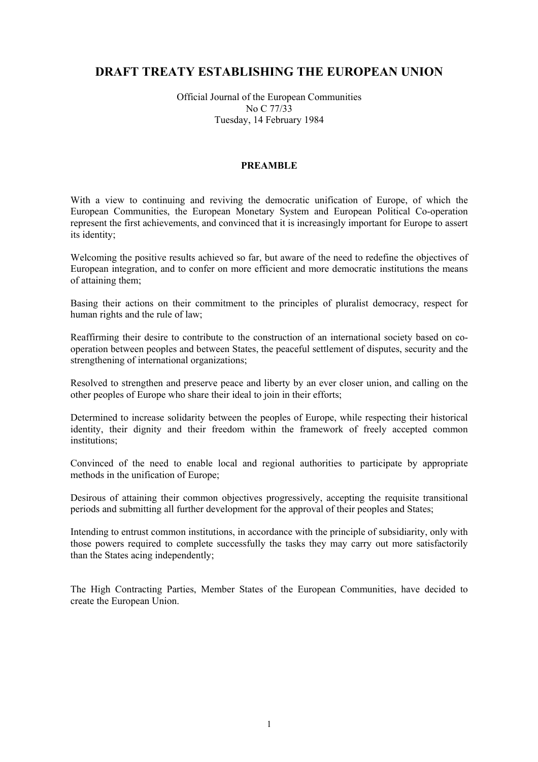# **DRAFT TREATY ESTABLISHING THE EUROPEAN UNION**

Official Journal of the European Communities No C 77/33 Tuesday, 14 February 1984

#### **PREAMBLE**

With a view to continuing and reviving the democratic unification of Europe, of which the European Communities, the European Monetary System and European Political Co-operation represent the first achievements, and convinced that it is increasingly important for Europe to assert its identity;

Welcoming the positive results achieved so far, but aware of the need to redefine the objectives of European integration, and to confer on more efficient and more democratic institutions the means of attaining them;

Basing their actions on their commitment to the principles of pluralist democracy, respect for human rights and the rule of law;

Reaffirming their desire to contribute to the construction of an international society based on cooperation between peoples and between States, the peaceful settlement of disputes, security and the strengthening of international organizations;

Resolved to strengthen and preserve peace and liberty by an ever closer union, and calling on the other peoples of Europe who share their ideal to join in their efforts;

Determined to increase solidarity between the peoples of Europe, while respecting their historical identity, their dignity and their freedom within the framework of freely accepted common institutions;

Convinced of the need to enable local and regional authorities to participate by appropriate methods in the unification of Europe;

Desirous of attaining their common objectives progressively, accepting the requisite transitional periods and submitting all further development for the approval of their peoples and States;

Intending to entrust common institutions, in accordance with the principle of subsidiarity, only with those powers required to complete successfully the tasks they may carry out more satisfactorily than the States acing independently;

The High Contracting Parties, Member States of the European Communities, have decided to create the European Union.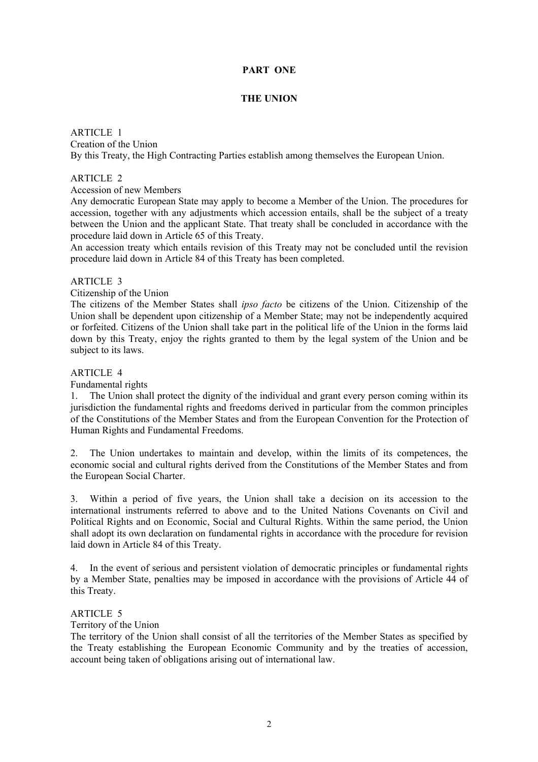## **PART ONE**

### **THE UNION**

#### ARTICLE 1 Creation of the Union By this Treaty, the High Contracting Parties establish among themselves the European Union.

#### ARTICLE 2

Accession of new Members

Any democratic European State may apply to become a Member of the Union. The procedures for accession, together with any adjustments which accession entails, shall be the subject of a treaty between the Union and the applicant State. That treaty shall be concluded in accordance with the procedure laid down in Article 65 of this Treaty.

An accession treaty which entails revision of this Treaty may not be concluded until the revision procedure laid down in Article 84 of this Treaty has been completed.

#### ARTICLE 3

Citizenship of the Union

The citizens of the Member States shall *ipso facto* be citizens of the Union. Citizenship of the Union shall be dependent upon citizenship of a Member State; may not be independently acquired or forfeited. Citizens of the Union shall take part in the political life of the Union in the forms laid down by this Treaty, enjoy the rights granted to them by the legal system of the Union and be subject to its laws.

### ARTICLE 4

Fundamental rights

1. The Union shall protect the dignity of the individual and grant every person coming within its jurisdiction the fundamental rights and freedoms derived in particular from the common principles of the Constitutions of the Member States and from the European Convention for the Protection of Human Rights and Fundamental Freedoms.

2. The Union undertakes to maintain and develop, within the limits of its competences, the economic social and cultural rights derived from the Constitutions of the Member States and from the European Social Charter.

3. Within a period of five years, the Union shall take a decision on its accession to the international instruments referred to above and to the United Nations Covenants on Civil and Political Rights and on Economic, Social and Cultural Rights. Within the same period, the Union shall adopt its own declaration on fundamental rights in accordance with the procedure for revision laid down in Article 84 of this Treaty.

4. In the event of serious and persistent violation of democratic principles or fundamental rights by a Member State, penalties may be imposed in accordance with the provisions of Article 44 of this Treaty.

### ARTICLE 5

Territory of the Union

The territory of the Union shall consist of all the territories of the Member States as specified by the Treaty establishing the European Economic Community and by the treaties of accession, account being taken of obligations arising out of international law.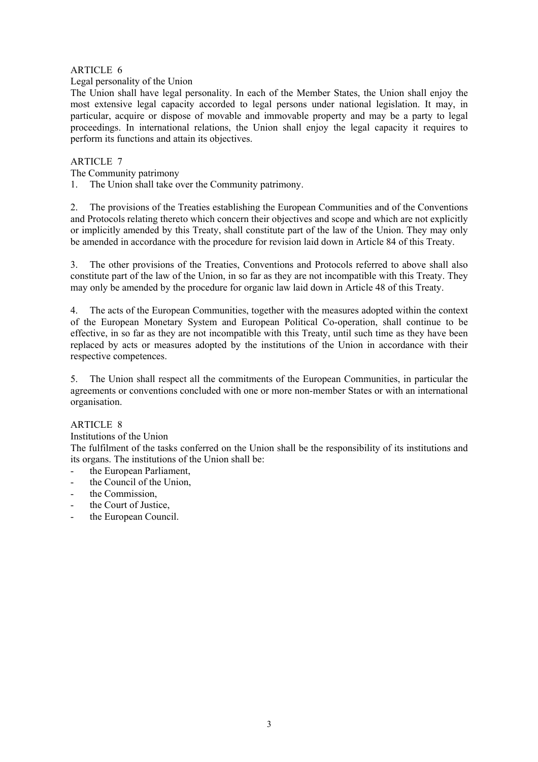### Legal personality of the Union

The Union shall have legal personality. In each of the Member States, the Union shall enjoy the most extensive legal capacity accorded to legal persons under national legislation. It may, in particular, acquire or dispose of movable and immovable property and may be a party to legal proceedings. In international relations, the Union shall enjoy the legal capacity it requires to perform its functions and attain its objectives.

## ARTICLE 7

The Community patrimony

1. The Union shall take over the Community patrimony.

2. The provisions of the Treaties establishing the European Communities and of the Conventions and Protocols relating thereto which concern their objectives and scope and which are not explicitly or implicitly amended by this Treaty, shall constitute part of the law of the Union. They may only be amended in accordance with the procedure for revision laid down in Article 84 of this Treaty.

3. The other provisions of the Treaties, Conventions and Protocols referred to above shall also constitute part of the law of the Union, in so far as they are not incompatible with this Treaty. They may only be amended by the procedure for organic law laid down in Article 48 of this Treaty.

4. The acts of the European Communities, together with the measures adopted within the context of the European Monetary System and European Political Co-operation, shall continue to be effective, in so far as they are not incompatible with this Treaty, until such time as they have been replaced by acts or measures adopted by the institutions of the Union in accordance with their respective competences.

5. The Union shall respect all the commitments of the European Communities, in particular the agreements or conventions concluded with one or more non-member States or with an international organisation.

## ARTICLE 8

### Institutions of the Union

The fulfilment of the tasks conferred on the Union shall be the responsibility of its institutions and its organs. The institutions of the Union shall be:

- the European Parliament,
- the Council of the Union
- the Commission
- the Court of Justice,
- the European Council.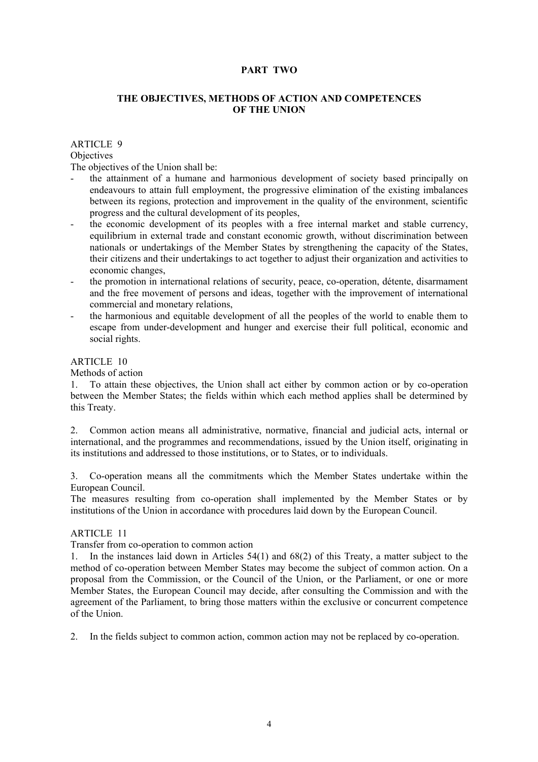## **PART TWO**

## **THE OBJECTIVES, METHODS OF ACTION AND COMPETENCES OF THE UNION**

#### ARTICLE 9 **Objectives**

The objectives of the Union shall be:

- the attainment of a humane and harmonious development of society based principally on endeavours to attain full employment, the progressive elimination of the existing imbalances between its regions, protection and improvement in the quality of the environment, scientific progress and the cultural development of its peoples,
- the economic development of its peoples with a free internal market and stable currency, equilibrium in external trade and constant economic growth, without discrimination between nationals or undertakings of the Member States by strengthening the capacity of the States, their citizens and their undertakings to act together to adjust their organization and activities to economic changes,
- the promotion in international relations of security, peace, co-operation, détente, disarmament and the free movement of persons and ideas, together with the improvement of international commercial and monetary relations,
- the harmonious and equitable development of all the peoples of the world to enable them to escape from under-development and hunger and exercise their full political, economic and social rights.

## ARTICLE 10

Methods of action

1. To attain these objectives, the Union shall act either by common action or by co-operation between the Member States; the fields within which each method applies shall be determined by this Treaty.

2. Common action means all administrative, normative, financial and judicial acts, internal or international, and the programmes and recommendations, issued by the Union itself, originating in its institutions and addressed to those institutions, or to States, or to individuals.

3. Co-operation means all the commitments which the Member States undertake within the European Council.

The measures resulting from co-operation shall implemented by the Member States or by institutions of the Union in accordance with procedures laid down by the European Council.

### ARTICLE 11

Transfer from co-operation to common action

1. In the instances laid down in Articles 54(1) and 68(2) of this Treaty, a matter subject to the method of co-operation between Member States may become the subject of common action. On a proposal from the Commission, or the Council of the Union, or the Parliament, or one or more Member States, the European Council may decide, after consulting the Commission and with the agreement of the Parliament, to bring those matters within the exclusive or concurrent competence of the Union.

2. In the fields subject to common action, common action may not be replaced by co-operation.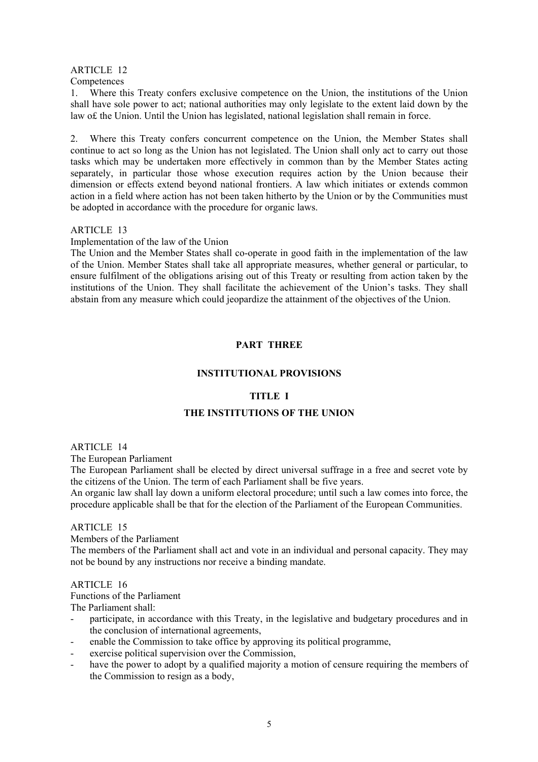**Competences** 

1. Where this Treaty confers exclusive competence on the Union, the institutions of the Union shall have sole power to act; national authorities may only legislate to the extent laid down by the law o£ the Union. Until the Union has legislated, national legislation shall remain in force.

2. Where this Treaty confers concurrent competence on the Union, the Member States shall continue to act so long as the Union has not legislated. The Union shall only act to carry out those tasks which may be undertaken more effectively in common than by the Member States acting separately, in particular those whose execution requires action by the Union because their dimension or effects extend beyond national frontiers. A law which initiates or extends common action in a field where action has not been taken hitherto by the Union or by the Communities must be adopted in accordance with the procedure for organic laws.

### ARTICLE 13

Implementation of the law of the Union

The Union and the Member States shall co-operate in good faith in the implementation of the law of the Union. Member States shall take all appropriate measures, whether general or particular, to ensure fulfilment of the obligations arising out of this Treaty or resulting from action taken by the institutions of the Union. They shall facilitate the achievement of the Union's tasks. They shall abstain from any measure which could jeopardize the attainment of the objectives of the Union.

# **PART THREE**

## **INSTITUTIONAL PROVISIONS**

## **TITLE I**

# **THE INSTITUTIONS OF THE UNION**

ARTICLE 14

The European Parliament

The European Parliament shall be elected by direct universal suffrage in a free and secret vote by the citizens of the Union. The term of each Parliament shall be five years.

An organic law shall lay down a uniform electoral procedure; until such a law comes into force, the procedure applicable shall be that for the election of the Parliament of the European Communities.

## ARTICLE 15

Members of the Parliament

The members of the Parliament shall act and vote in an individual and personal capacity. They may not be bound by any instructions nor receive a binding mandate.

## ARTICLE 16

Functions of the Parliament

The Parliament shall:

- participate, in accordance with this Treaty, in the legislative and budgetary procedures and in the conclusion of international agreements,
- enable the Commission to take office by approving its political programme,
- exercise political supervision over the Commission.
- have the power to adopt by a qualified majority a motion of censure requiring the members of the Commission to resign as a body,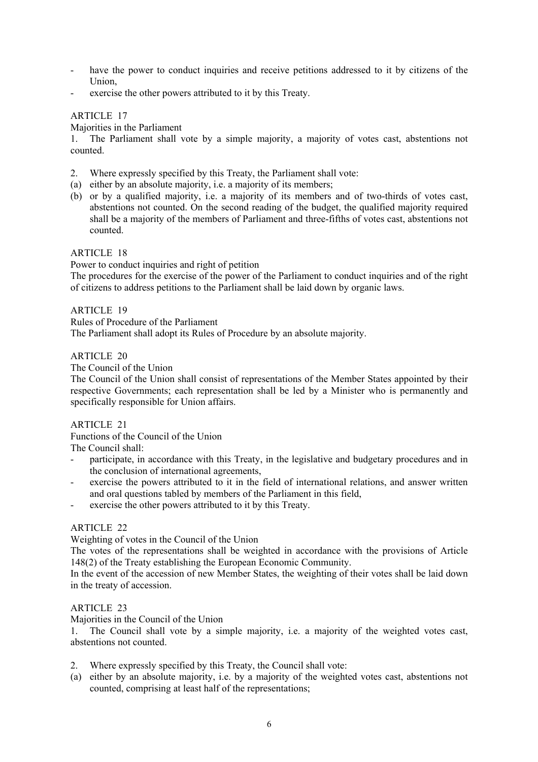- have the power to conduct inquiries and receive petitions addressed to it by citizens of the Union,
- exercise the other powers attributed to it by this Treaty.

Majorities in the Parliament

1. The Parliament shall vote by a simple majority, a majority of votes cast, abstentions not counted.

- 2. Where expressly specified by this Treaty, the Parliament shall vote:
- (a) either by an absolute majority, i.e. a majority of its members;
- (b) or by a qualified majority, i.e. a majority of its members and of two-thirds of votes cast, abstentions not counted. On the second reading of the budget, the qualified majority required shall be a majority of the members of Parliament and three-fifths of votes cast, abstentions not counted.

## ARTICLE 18

Power to conduct inquiries and right of petition

The procedures for the exercise of the power of the Parliament to conduct inquiries and of the right of citizens to address petitions to the Parliament shall be laid down by organic laws.

### ARTICLE 19

Rules of Procedure of the Parliament

The Parliament shall adopt its Rules of Procedure by an absolute majority.

### ARTICLE 20

The Council of the Union

The Council of the Union shall consist of representations of the Member States appointed by their respective Governments; each representation shall be led by a Minister who is permanently and specifically responsible for Union affairs.

## ARTICLE 21

Functions of the Council of the Union

The Council shall:

- participate, in accordance with this Treaty, in the legislative and budgetary procedures and in the conclusion of international agreements,
- exercise the powers attributed to it in the field of international relations, and answer written and oral questions tabled by members of the Parliament in this field,
- exercise the other powers attributed to it by this Treaty.

### ARTICLE 22

Weighting of votes in the Council of the Union

The votes of the representations shall be weighted in accordance with the provisions of Article 148(2) of the Treaty establishing the European Economic Community.

In the event of the accession of new Member States, the weighting of their votes shall be laid down in the treaty of accession.

### ARTICLE 23

Majorities in the Council of the Union

1. The Council shall vote by a simple majority, i.e. a majority of the weighted votes cast, abstentions not counted.

- 2. Where expressly specified by this Treaty, the Council shall vote:
- (a) either by an absolute majority, i.e. by a majority of the weighted votes cast, abstentions not counted, comprising at least half of the representations;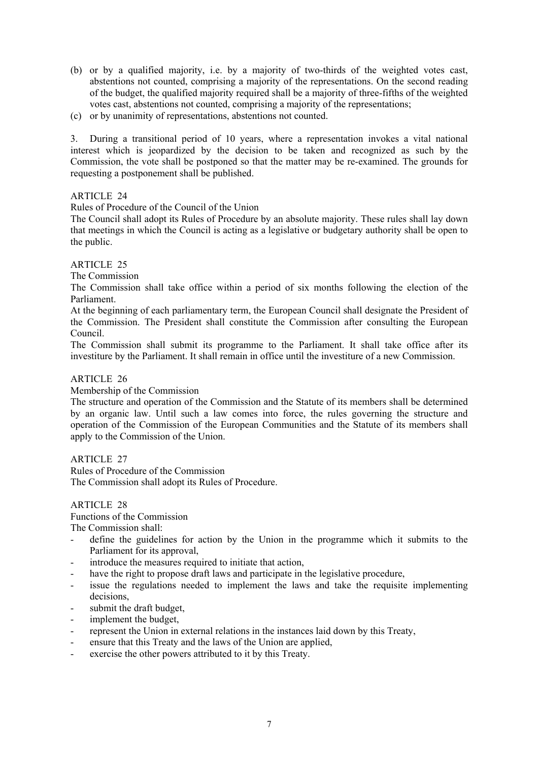- (b) or by a qualified majority, i.e. by a majority of two-thirds of the weighted votes cast, abstentions not counted, comprising a majority of the representations. On the second reading of the budget, the qualified majority required shall be a majority of three-fifths of the weighted votes cast, abstentions not counted, comprising a majority of the representations;
- (c) or by unanimity of representations, abstentions not counted.

3. During a transitional period of 10 years, where a representation invokes a vital national interest which is jeopardized by the decision to be taken and recognized as such by the Commission, the vote shall be postponed so that the matter may be re-examined. The grounds for requesting a postponement shall be published.

## ARTICLE 24

Rules of Procedure of the Council of the Union

The Council shall adopt its Rules of Procedure by an absolute majority. These rules shall lay down that meetings in which the Council is acting as a legislative or budgetary authority shall be open to the public.

## ARTICLE 25

The Commission

The Commission shall take office within a period of six months following the election of the Parliament.

At the beginning of each parliamentary term, the European Council shall designate the President of the Commission. The President shall constitute the Commission after consulting the European Council.

The Commission shall submit its programme to the Parliament. It shall take office after its investiture by the Parliament. It shall remain in office until the investiture of a new Commission.

## ARTICLE 26

Membership of the Commission

The structure and operation of the Commission and the Statute of its members shall be determined by an organic law. Until such a law comes into force, the rules governing the structure and operation of the Commission of the European Communities and the Statute of its members shall apply to the Commission of the Union.

ARTICLE 27

Rules of Procedure of the Commission The Commission shall adopt its Rules of Procedure.

### ARTICLE 28

Functions of the Commission

The Commission shall:

- define the guidelines for action by the Union in the programme which it submits to the Parliament for its approval,
- introduce the measures required to initiate that action,
- have the right to propose draft laws and participate in the legislative procedure,
- issue the regulations needed to implement the laws and take the requisite implementing decisions,
- submit the draft budget,
- implement the budget.
- represent the Union in external relations in the instances laid down by this Treaty,
- ensure that this Treaty and the laws of the Union are applied.
- exercise the other powers attributed to it by this Treaty.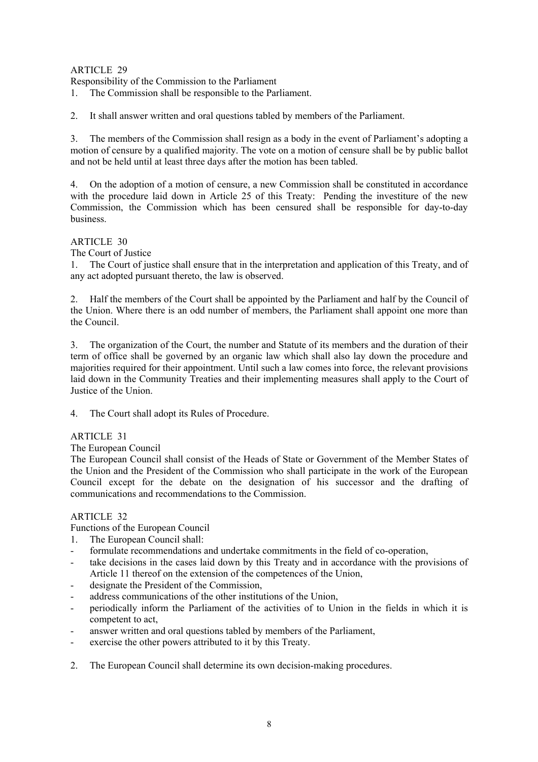Responsibility of the Commission to the Parliament

- 1. The Commission shall be responsible to the Parliament.
- 2. It shall answer written and oral questions tabled by members of the Parliament.

3. The members of the Commission shall resign as a body in the event of Parliament's adopting a motion of censure by a qualified majority. The vote on a motion of censure shall be by public ballot and not be held until at least three days after the motion has been tabled.

4. On the adoption of a motion of censure, a new Commission shall be constituted in accordance with the procedure laid down in Article 25 of this Treaty: Pending the investiture of the new Commission, the Commission which has been censured shall be responsible for day-to-day business.

## ARTICLE 30

The Court of Justice

1. The Court of justice shall ensure that in the interpretation and application of this Treaty, and of any act adopted pursuant thereto, the law is observed.

2. Half the members of the Court shall be appointed by the Parliament and half by the Council of the Union. Where there is an odd number of members, the Parliament shall appoint one more than the Council.

3. The organization of the Court, the number and Statute of its members and the duration of their term of office shall be governed by an organic law which shall also lay down the procedure and majorities required for their appointment. Until such a law comes into force, the relevant provisions laid down in the Community Treaties and their implementing measures shall apply to the Court of Justice of the Union.

4. The Court shall adopt its Rules of Procedure.

### ARTICLE 31

### The European Council

The European Council shall consist of the Heads of State or Government of the Member States of the Union and the President of the Commission who shall participate in the work of the European Council except for the debate on the designation of his successor and the drafting of communications and recommendations to the Commission.

## ARTICLE 32

Functions of the European Council

- 1. The European Council shall:
- formulate recommendations and undertake commitments in the field of co-operation,
- take decisions in the cases laid down by this Treaty and in accordance with the provisions of Article 11 thereof on the extension of the competences of the Union,
- designate the President of the Commission,
- address communications of the other institutions of the Union,
- periodically inform the Parliament of the activities of to Union in the fields in which it is competent to act,
- answer written and oral questions tabled by members of the Parliament,
- exercise the other powers attributed to it by this Treaty.
- 2. The European Council shall determine its own decision-making procedures.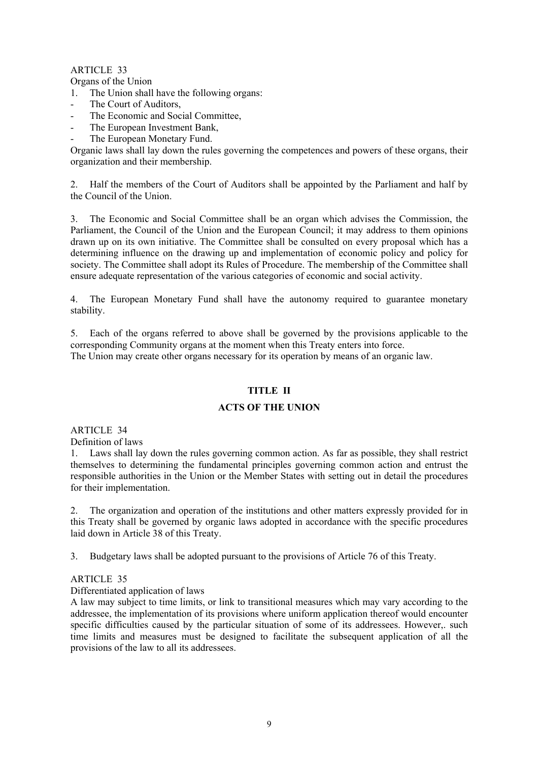Organs of the Union

- 1. The Union shall have the following organs:
- The Court of Auditors.
- The Economic and Social Committee.
- The European Investment Bank,
- The European Monetary Fund.

Organic laws shall lay down the rules governing the competences and powers of these organs, their organization and their membership.

2. Half the members of the Court of Auditors shall be appointed by the Parliament and half by the Council of the Union.

3. The Economic and Social Committee shall be an organ which advises the Commission, the Parliament, the Council of the Union and the European Council; it may address to them opinions drawn up on its own initiative. The Committee shall be consulted on every proposal which has a determining influence on the drawing up and implementation of economic policy and policy for society. The Committee shall adopt its Rules of Procedure. The membership of the Committee shall ensure adequate representation of the various categories of economic and social activity.

4. The European Monetary Fund shall have the autonomy required to guarantee monetary stability.

5. Each of the organs referred to above shall be governed by the provisions applicable to the corresponding Community organs at the moment when this Treaty enters into force.

The Union may create other organs necessary for its operation by means of an organic law.

## **TITLE II**

### **ACTS OF THE UNION**

ARTICLE 34

Definition of laws

1. Laws shall lay down the rules governing common action. As far as possible, they shall restrict themselves to determining the fundamental principles governing common action and entrust the responsible authorities in the Union or the Member States with setting out in detail the procedures for their implementation.

2. The organization and operation of the institutions and other matters expressly provided for in this Treaty shall be governed by organic laws adopted in accordance with the specific procedures laid down in Article 38 of this Treaty.

3. Budgetary laws shall be adopted pursuant to the provisions of Article 76 of this Treaty.

### ARTICLE 35

### Differentiated application of laws

A law may subject to time limits, or link to transitional measures which may vary according to the addressee, the implementation of its provisions where uniform application thereof would encounter specific difficulties caused by the particular situation of some of its addressees. However, such time limits and measures must be designed to facilitate the subsequent application of all the provisions of the law to all its addressees.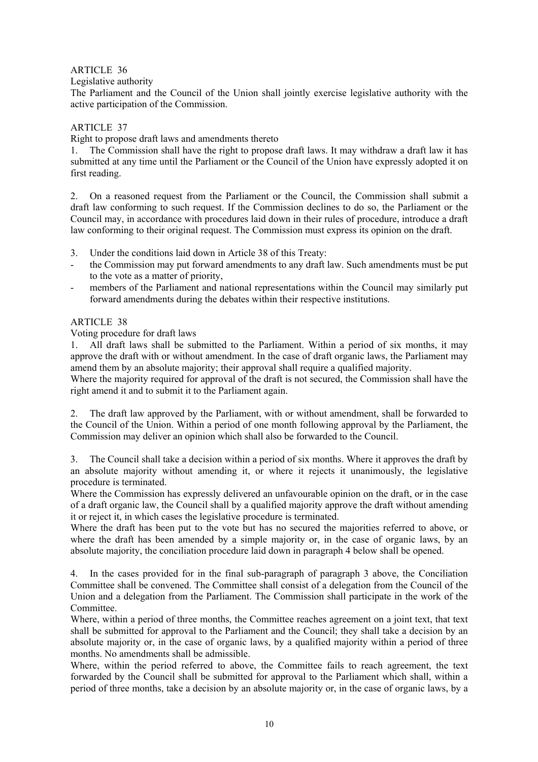## Legislative authority

The Parliament and the Council of the Union shall jointly exercise legislative authority with the active participation of the Commission.

## ARTICLE 37

Right to propose draft laws and amendments thereto

1. The Commission shall have the right to propose draft laws. It may withdraw a draft law it has submitted at any time until the Parliament or the Council of the Union have expressly adopted it on first reading.

2. On a reasoned request from the Parliament or the Council, the Commission shall submit a draft law conforming to such request. If the Commission declines to do so, the Parliament or the Council may, in accordance with procedures laid down in their rules of procedure, introduce a draft law conforming to their original request. The Commission must express its opinion on the draft.

3. Under the conditions laid down in Article 38 of this Treaty:

- the Commission may put forward amendments to any draft law. Such amendments must be put to the vote as a matter of priority,
- members of the Parliament and national representations within the Council may similarly put forward amendments during the debates within their respective institutions.

## ARTICLE 38

Voting procedure for draft laws

1. All draft laws shall be submitted to the Parliament. Within a period of six months, it may approve the draft with or without amendment. In the case of draft organic laws, the Parliament may amend them by an absolute majority; their approval shall require a qualified majority.

Where the majority required for approval of the draft is not secured, the Commission shall have the right amend it and to submit it to the Parliament again.

2. The draft law approved by the Parliament, with or without amendment, shall be forwarded to the Council of the Union. Within a period of one month following approval by the Parliament, the Commission may deliver an opinion which shall also be forwarded to the Council.

3. The Council shall take a decision within a period of six months. Where it approves the draft by an absolute majority without amending it, or where it rejects it unanimously, the legislative procedure is terminated.

Where the Commission has expressly delivered an unfavourable opinion on the draft, or in the case of a draft organic law, the Council shall by a qualified majority approve the draft without amending it or reject it, in which cases the legislative procedure is terminated.

Where the draft has been put to the vote but has no secured the majorities referred to above, or where the draft has been amended by a simple majority or, in the case of organic laws, by an absolute majority, the conciliation procedure laid down in paragraph 4 below shall be opened.

4. In the cases provided for in the final sub-paragraph of paragraph 3 above, the Conciliation Committee shall be convened. The Committee shall consist of a delegation from the Council of the Union and a delegation from the Parliament. The Commission shall participate in the work of the **Committee** 

Where, within a period of three months, the Committee reaches agreement on a joint text, that text shall be submitted for approval to the Parliament and the Council; they shall take a decision by an absolute majority or, in the case of organic laws, by a qualified majority within a period of three months. No amendments shall be admissible.

Where, within the period referred to above, the Committee fails to reach agreement, the text forwarded by the Council shall be submitted for approval to the Parliament which shall, within a period of three months, take a decision by an absolute majority or, in the case of organic laws, by a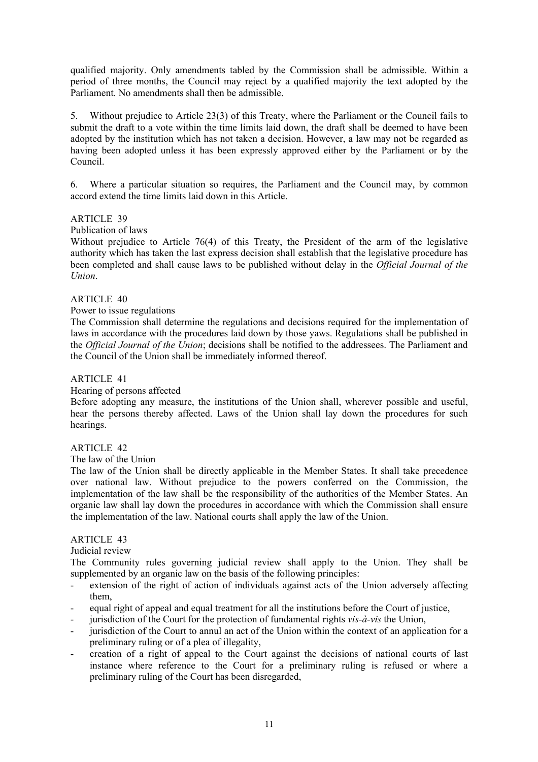qualified majority. Only amendments tabled by the Commission shall be admissible. Within a period of three months, the Council may reject by a qualified majority the text adopted by the Parliament. No amendments shall then be admissible.

5. Without prejudice to Article 23(3) of this Treaty, where the Parliament or the Council fails to submit the draft to a vote within the time limits laid down, the draft shall be deemed to have been adopted by the institution which has not taken a decision. However, a law may not be regarded as having been adopted unless it has been expressly approved either by the Parliament or by the Council.

6. Where a particular situation so requires, the Parliament and the Council may, by common accord extend the time limits laid down in this Article.

## ARTICLE 39

#### Publication of laws

Without prejudice to Article 76(4) of this Treaty, the President of the arm of the legislative authority which has taken the last express decision shall establish that the legislative procedure has been completed and shall cause laws to be published without delay in the *Official Journal of the Union*.

#### ARTICLE 40

#### Power to issue regulations

The Commission shall determine the regulations and decisions required for the implementation of laws in accordance with the procedures laid down by those yaws. Regulations shall be published in the *Official Journal of the Union*; decisions shall be notified to the addressees. The Parliament and the Council of the Union shall be immediately informed thereof.

#### ARTICLE 41

### Hearing of persons affected

Before adopting any measure, the institutions of the Union shall, wherever possible and useful, hear the persons thereby affected. Laws of the Union shall lay down the procedures for such hearings.

## ARTICLE 42

### The law of the Union

The law of the Union shall be directly applicable in the Member States. It shall take precedence over national law. Without prejudice to the powers conferred on the Commission, the implementation of the law shall be the responsibility of the authorities of the Member States. An organic law shall lay down the procedures in accordance with which the Commission shall ensure the implementation of the law. National courts shall apply the law of the Union.

### ARTICLE 43

#### Judicial review

The Community rules governing judicial review shall apply to the Union. They shall be supplemented by an organic law on the basis of the following principles:

- extension of the right of action of individuals against acts of the Union adversely affecting them,
- equal right of appeal and equal treatment for all the institutions before the Court of justice,
- jurisdiction of the Court for the protection of fundamental rights *vis-à-vis* the Union,
- jurisdiction of the Court to annul an act of the Union within the context of an application for a preliminary ruling or of a plea of illegality,
- creation of a right of appeal to the Court against the decisions of national courts of last instance where reference to the Court for a preliminary ruling is refused or where a preliminary ruling of the Court has been disregarded,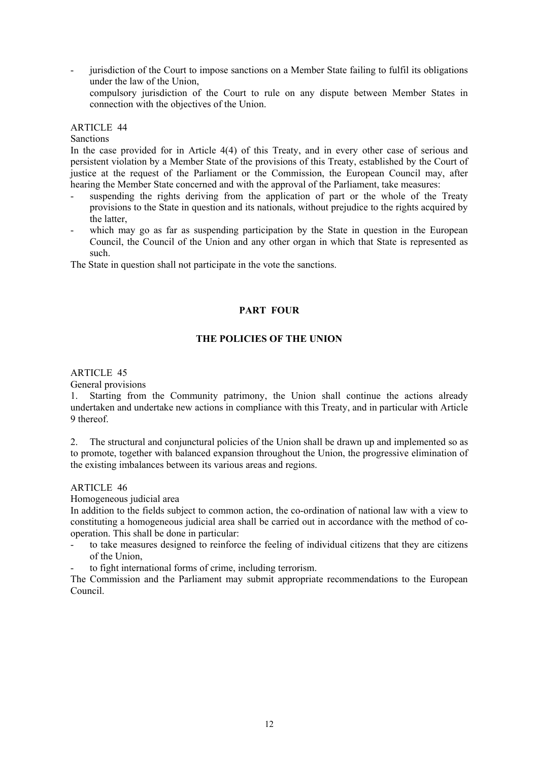jurisdiction of the Court to impose sanctions on a Member State failing to fulfil its obligations under the law of the Union, compulsory jurisdiction of the Court to rule on any dispute between Member States in connection with the objectives of the Union.

#### ARTICLE 44

#### **Sanctions**

In the case provided for in Article 4(4) of this Treaty, and in every other case of serious and persistent violation by a Member State of the provisions of this Treaty, established by the Court of justice at the request of the Parliament or the Commission, the European Council may, after hearing the Member State concerned and with the approval of the Parliament, take measures:

- suspending the rights deriving from the application of part or the whole of the Treaty provisions to the State in question and its nationals, without prejudice to the rights acquired by the latter
- which may go as far as suspending participation by the State in question in the European Council, the Council of the Union and any other organ in which that State is represented as such.

The State in question shall not participate in the vote the sanctions.

## **PART FOUR**

## **THE POLICIES OF THE UNION**

### ARTICLE 45

General provisions

1. Starting from the Community patrimony, the Union shall continue the actions already undertaken and undertake new actions in compliance with this Treaty, and in particular with Article 9 thereof.

2. The structural and conjunctural policies of the Union shall be drawn up and implemented so as to promote, together with balanced expansion throughout the Union, the progressive elimination of the existing imbalances between its various areas and regions.

### ARTICLE 46

Homogeneous judicial area

In addition to the fields subject to common action, the co-ordination of national law with a view to constituting a homogeneous judicial area shall be carried out in accordance with the method of cooperation. This shall be done in particular:

- to take measures designed to reinforce the feeling of individual citizens that they are citizens of the Union,
- to fight international forms of crime, including terrorism.

The Commission and the Parliament may submit appropriate recommendations to the European Council.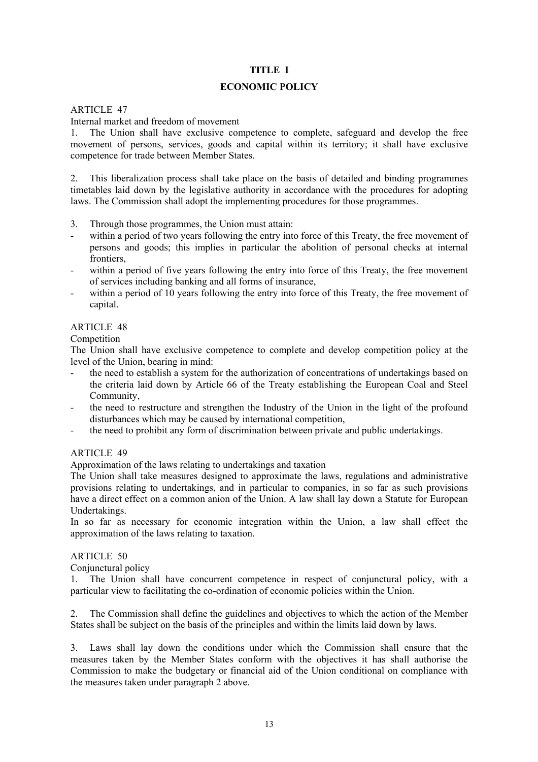# **TITLE I**

## **ECONOMIC POLICY**

### ARTICLE 47

Internal market and freedom of movement

1. The Union shall have exclusive competence to complete, safeguard and develop the free movement of persons, services, goods and capital within its territory; it shall have exclusive competence for trade between Member States.

2. This liberalization process shall take place on the basis of detailed and binding programmes timetables laid down by the legislative authority in accordance with the procedures for adopting laws. The Commission shall adopt the implementing procedures for those programmes.

- 3. Through those programmes, the Union must attain:
- within a period of two years following the entry into force of this Treaty, the free movement of persons and goods; this implies in particular the abolition of personal checks at internal frontiers,
- within a period of five years following the entry into force of this Treaty, the free movement of services including banking and all forms of insurance,
- within a period of 10 years following the entry into force of this Treaty, the free movement of capital.

## ARTICLE 48

**Competition** 

The Union shall have exclusive competence to complete and develop competition policy at the level of the Union, bearing in mind:

- the need to establish a system for the authorization of concentrations of undertakings based on the criteria laid down by Article 66 of the Treaty establishing the European Coal and Steel **Community**
- the need to restructure and strengthen the Industry of the Union in the light of the profound disturbances which may be caused by international competition,
- the need to prohibit any form of discrimination between private and public undertakings.

### ARTICLE 49

Approximation of the laws relating to undertakings and taxation

The Union shall take measures designed to approximate the laws, regulations and administrative provisions relating to undertakings, and in particular to companies, in so far as such provisions have a direct effect on a common anion of the Union. A law shall lay down a Statute for European Undertakings.

In so far as necessary for economic integration within the Union, a law shall effect the approximation of the laws relating to taxation.

### ARTICLE 50

Conjunctural policy

1. The Union shall have concurrent competence in respect of conjunctural policy, with a particular view to facilitating the co-ordination of economic policies within the Union.

2. The Commission shall define the guidelines and objectives to which the action of the Member States shall be subject on the basis of the principles and within the limits laid down by laws.

3. Laws shall lay down the conditions under which the Commission shall ensure that the measures taken by the Member States conform with the objectives it has shall authorise the Commission to make the budgetary or financial aid of the Union conditional on compliance with the measures taken under paragraph 2 above.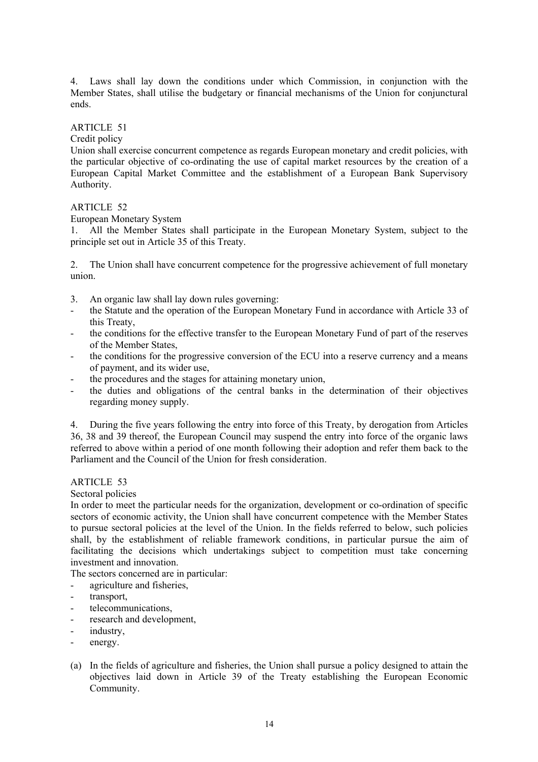4. Laws shall lay down the conditions under which Commission, in conjunction with the Member States, shall utilise the budgetary or financial mechanisms of the Union for conjunctural ends.

## ARTICLE 51

### Credit policy

Union shall exercise concurrent competence as regards European monetary and credit policies, with the particular objective of co-ordinating the use of capital market resources by the creation of a European Capital Market Committee and the establishment of a European Bank Supervisory Authority.

## ARTICLE 52

European Monetary System

1. All the Member States shall participate in the European Monetary System, subject to the principle set out in Article 35 of this Treaty.

2. The Union shall have concurrent competence for the progressive achievement of full monetary union.

- 3. An organic law shall lay down rules governing:
- the Statute and the operation of the European Monetary Fund in accordance with Article 33 of this Treaty,
- the conditions for the effective transfer to the European Monetary Fund of part of the reserves of the Member States,
- the conditions for the progressive conversion of the ECU into a reserve currency and a means of payment, and its wider use,
- the procedures and the stages for attaining monetary union,
- the duties and obligations of the central banks in the determination of their objectives regarding money supply.

4. During the five years following the entry into force of this Treaty, by derogation from Articles 36, 38 and 39 thereof, the European Council may suspend the entry into force of the organic laws referred to above within a period of one month following their adoption and refer them back to the Parliament and the Council of the Union for fresh consideration.

### ARTICLE 53

Sectoral policies

In order to meet the particular needs for the organization, development or co-ordination of specific sectors of economic activity, the Union shall have concurrent competence with the Member States to pursue sectoral policies at the level of the Union. In the fields referred to below, such policies shall, by the establishment of reliable framework conditions, in particular pursue the aim of facilitating the decisions which undertakings subject to competition must take concerning investment and innovation.

The sectors concerned are in particular:

- agriculture and fisheries,
- transport,
- telecommunications,
- research and development.
- industry,
- energy.
- (a) In the fields of agriculture and fisheries, the Union shall pursue a policy designed to attain the objectives laid down in Article 39 of the Treaty establishing the European Economic Community.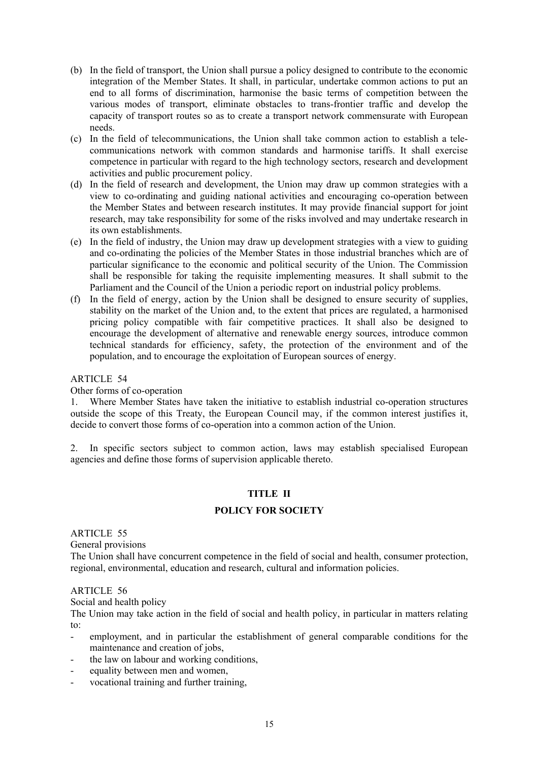- (b) In the field of transport, the Union shall pursue a policy designed to contribute to the economic integration of the Member States. It shall, in particular, undertake common actions to put an end to all forms of discrimination, harmonise the basic terms of competition between the various modes of transport, eliminate obstacles to trans-frontier traffic and develop the capacity of transport routes so as to create a transport network commensurate with European needs.
- (c) In the field of telecommunications, the Union shall take common action to establish a telecommunications network with common standards and harmonise tariffs. It shall exercise competence in particular with regard to the high technology sectors, research and development activities and public procurement policy.
- (d) In the field of research and development, the Union may draw up common strategies with a view to co-ordinating and guiding national activities and encouraging co-operation between the Member States and between research institutes. It may provide financial support for joint research, may take responsibility for some of the risks involved and may undertake research in its own establishments.
- (e) In the field of industry, the Union may draw up development strategies with a view to guiding and co-ordinating the policies of the Member States in those industrial branches which are of particular significance to the economic and political security of the Union. The Commission shall be responsible for taking the requisite implementing measures. It shall submit to the Parliament and the Council of the Union a periodic report on industrial policy problems.
- (f) In the field of energy, action by the Union shall be designed to ensure security of supplies, stability on the market of the Union and, to the extent that prices are regulated, a harmonised pricing policy compatible with fair competitive practices. It shall also be designed to encourage the development of alternative and renewable energy sources, introduce common technical standards for efficiency, safety, the protection of the environment and of the population, and to encourage the exploitation of European sources of energy.

Other forms of co-operation

1. Where Member States have taken the initiative to establish industrial co-operation structures outside the scope of this Treaty, the European Council may, if the common interest justifies it, decide to convert those forms of co-operation into a common action of the Union.

2. In specific sectors subject to common action, laws may establish specialised European agencies and define those forms of supervision applicable thereto.

## **TITLE II**

## **POLICY FOR SOCIETY**

## ARTICLE 55

General provisions

The Union shall have concurrent competence in the field of social and health, consumer protection, regional, environmental, education and research, cultural and information policies.

## ARTICLE 56

Social and health policy

The Union may take action in the field of social and health policy, in particular in matters relating to:

- employment, and in particular the establishment of general comparable conditions for the maintenance and creation of jobs,
- the law on labour and working conditions.
- equality between men and women.
- vocational training and further training,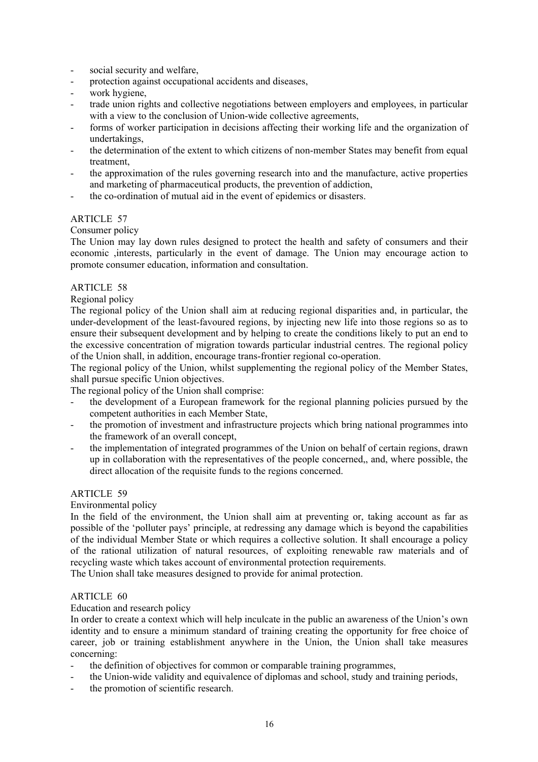- social security and welfare,
- protection against occupational accidents and diseases,
- work hygiene,
- trade union rights and collective negotiations between employers and employees, in particular with a view to the conclusion of Union-wide collective agreements.
- forms of worker participation in decisions affecting their working life and the organization of undertakings,
- the determination of the extent to which citizens of non-member States may benefit from equal treatment,
- the approximation of the rules governing research into and the manufacture, active properties and marketing of pharmaceutical products, the prevention of addiction,
- the co-ordination of mutual aid in the event of epidemics or disasters.

# Consumer policy

The Union may lay down rules designed to protect the health and safety of consumers and their economic ,interests, particularly in the event of damage. The Union may encourage action to promote consumer education, information and consultation.

## ARTICLE 58

### Regional policy

The regional policy of the Union shall aim at reducing regional disparities and, in particular, the under-development of the least-favoured regions, by injecting new life into those regions so as to ensure their subsequent development and by helping to create the conditions likely to put an end to the excessive concentration of migration towards particular industrial centres. The regional policy of the Union shall, in addition, encourage trans-frontier regional co-operation.

The regional policy of the Union, whilst supplementing the regional policy of the Member States, shall pursue specific Union objectives.

The regional policy of the Union shall comprise:

- the development of a European framework for the regional planning policies pursued by the competent authorities in each Member State,
- the promotion of investment and infrastructure projects which bring national programmes into the framework of an overall concept,
- the implementation of integrated programmes of the Union on behalf of certain regions, drawn up in collaboration with the representatives of the people concerned,, and, where possible, the direct allocation of the requisite funds to the regions concerned.

## ARTICLE 59

### Environmental policy

In the field of the environment, the Union shall aim at preventing or, taking account as far as possible of the 'polluter pays' principle, at redressing any damage which is beyond the capabilities of the individual Member State or which requires a collective solution. It shall encourage a policy of the rational utilization of natural resources, of exploiting renewable raw materials and of recycling waste which takes account of environmental protection requirements.

The Union shall take measures designed to provide for animal protection.

### ARTICLE 60

## Education and research policy

In order to create a context which will help inculcate in the public an awareness of the Union's own identity and to ensure a minimum standard of training creating the opportunity for free choice of career, job or training establishment anywhere in the Union, the Union shall take measures concerning:

- the definition of objectives for common or comparable training programmes.
- the Union-wide validity and equivalence of diplomas and school, study and training periods,
- the promotion of scientific research.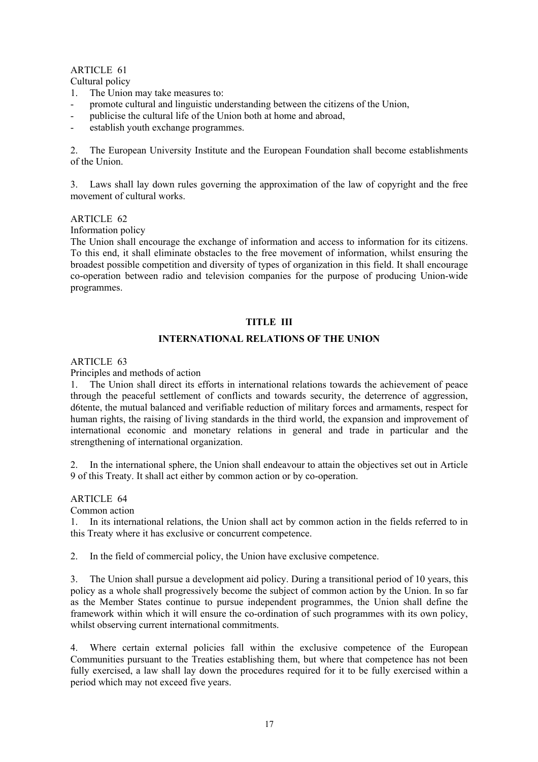Cultural policy

- 1. The Union may take measures to:
- promote cultural and linguistic understanding between the citizens of the Union,
- publicise the cultural life of the Union both at home and abroad,
- establish youth exchange programmes.

2. The European University Institute and the European Foundation shall become establishments of the Union.

3. Laws shall lay down rules governing the approximation of the law of copyright and the free movement of cultural works.

### ARTICLE 62

Information policy

The Union shall encourage the exchange of information and access to information for its citizens. To this end, it shall eliminate obstacles to the free movement of information, whilst ensuring the broadest possible competition and diversity of types of organization in this field. It shall encourage co-operation between radio and television companies for the purpose of producing Union-wide programmes.

## **TITLE III**

## **INTERNATIONAL RELATIONS OF THE UNION**

### ARTICLE 63

Principles and methods of action

1. The Union shall direct its efforts in international relations towards the achievement of peace through the peaceful settlement of conflicts and towards security, the deterrence of aggression, d6tente, the mutual balanced and verifiable reduction of military forces and armaments, respect for human rights, the raising of living standards in the third world, the expansion and improvement of international economic and monetary relations in general and trade in particular and the strengthening of international organization.

2. In the international sphere, the Union shall endeavour to attain the objectives set out in Article 9 of this Treaty. It shall act either by common action or by co-operation.

### ARTICLE 64

Common action

1. In its international relations, the Union shall act by common action in the fields referred to in this Treaty where it has exclusive or concurrent competence.

2. In the field of commercial policy, the Union have exclusive competence.

3. The Union shall pursue a development aid policy. During a transitional period of 10 years, this policy as a whole shall progressively become the subject of common action by the Union. In so far as the Member States continue to pursue independent programmes, the Union shall define the framework within which it will ensure the co-ordination of such programmes with its own policy, whilst observing current international commitments.

4. Where certain external policies fall within the exclusive competence of the European Communities pursuant to the Treaties establishing them, but where that competence has not been fully exercised, a law shall lay down the procedures required for it to be fully exercised within a period which may not exceed five years.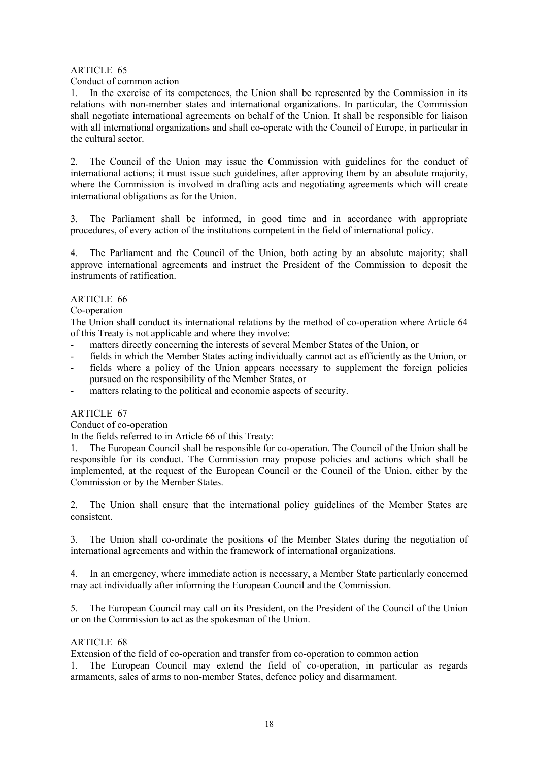### Conduct of common action

1. In the exercise of its competences, the Union shall be represented by the Commission in its relations with non-member states and international organizations. In particular, the Commission shall negotiate international agreements on behalf of the Union. It shall be responsible for liaison with all international organizations and shall co-operate with the Council of Europe, in particular in the cultural sector.

2. The Council of the Union may issue the Commission with guidelines for the conduct of international actions; it must issue such guidelines, after approving them by an absolute majority, where the Commission is involved in drafting acts and negotiating agreements which will create international obligations as for the Union.

3. The Parliament shall be informed, in good time and in accordance with appropriate procedures, of every action of the institutions competent in the field of international policy.

4. The Parliament and the Council of the Union, both acting by an absolute majority; shall approve international agreements and instruct the President of the Commission to deposit the instruments of ratification.

### ARTICLE 66

#### Co-operation

The Union shall conduct its international relations by the method of co-operation where Article 64 of this Treaty is not applicable and where they involve:

- matters directly concerning the interests of several Member States of the Union, or
- fields in which the Member States acting individually cannot act as efficiently as the Union, or
- fields where a policy of the Union appears necessary to supplement the foreign policies pursued on the responsibility of the Member States, or
- matters relating to the political and economic aspects of security.

### ARTICLE 67

### Conduct of co-operation

In the fields referred to in Article 66 of this Treaty:

1. The European Council shall be responsible for co-operation. The Council of the Union shall be responsible for its conduct. The Commission may propose policies and actions which shall be implemented, at the request of the European Council or the Council of the Union, either by the Commission or by the Member States.

2. The Union shall ensure that the international policy guidelines of the Member States are consistent.

3. The Union shall co-ordinate the positions of the Member States during the negotiation of international agreements and within the framework of international organizations.

4. In an emergency, where immediate action is necessary, a Member State particularly concerned may act individually after informing the European Council and the Commission.

5. The European Council may call on its President, on the President of the Council of the Union or on the Commission to act as the spokesman of the Union.

### ARTICLE 68

Extension of the field of co-operation and transfer from co-operation to common action

1. The European Council may extend the field of co-operation, in particular as regards armaments, sales of arms to non-member States, defence policy and disarmament.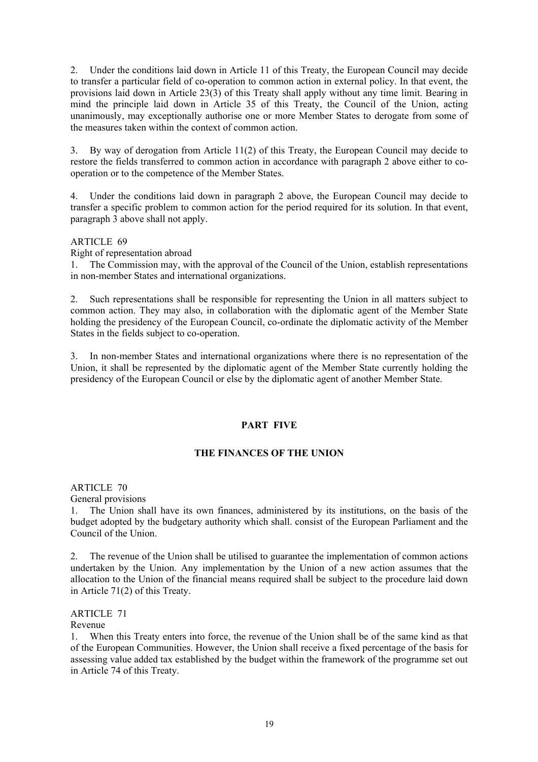2. Under the conditions laid down in Article 11 of this Treaty, the European Council may decide to transfer a particular field of co-operation to common action in external policy. In that event, the provisions laid down in Article 23(3) of this Treaty shall apply without any time limit. Bearing in mind the principle laid down in Article 35 of this Treaty, the Council of the Union, acting unanimously, may exceptionally authorise one or more Member States to derogate from some of the measures taken within the context of common action.

3. By way of derogation from Article 11(2) of this Treaty, the European Council may decide to restore the fields transferred to common action in accordance with paragraph 2 above either to cooperation or to the competence of the Member States.

4. Under the conditions laid down in paragraph 2 above, the European Council may decide to transfer a specific problem to common action for the period required for its solution. In that event, paragraph 3 above shall not apply.

## ARTICLE 69

Right of representation abroad

1. The Commission may, with the approval of the Council of the Union, establish representations in non-member States and international organizations.

2. Such representations shall be responsible for representing the Union in all matters subject to common action. They may also, in collaboration with the diplomatic agent of the Member State holding the presidency of the European Council, co-ordinate the diplomatic activity of the Member States in the fields subject to co-operation.

3. In non-member States and international organizations where there is no representation of the Union, it shall be represented by the diplomatic agent of the Member State currently holding the presidency of the European Council or else by the diplomatic agent of another Member State.

## **PART FIVE**

## **THE FINANCES OF THE UNION**

ARTICLE 70 General provisions

1. The Union shall have its own finances, administered by its institutions, on the basis of the budget adopted by the budgetary authority which shall. consist of the European Parliament and the Council of the Union.

2. The revenue of the Union shall be utilised to guarantee the implementation of common actions undertaken by the Union. Any implementation by the Union of a new action assumes that the allocation to the Union of the financial means required shall be subject to the procedure laid down in Article 71(2) of this Treaty.

### ARTICLE 71

Revenue

1. When this Treaty enters into force, the revenue of the Union shall be of the same kind as that of the European Communities. However, the Union shall receive a fixed percentage of the basis for assessing value added tax established by the budget within the framework of the programme set out in Article 74 of this Treaty.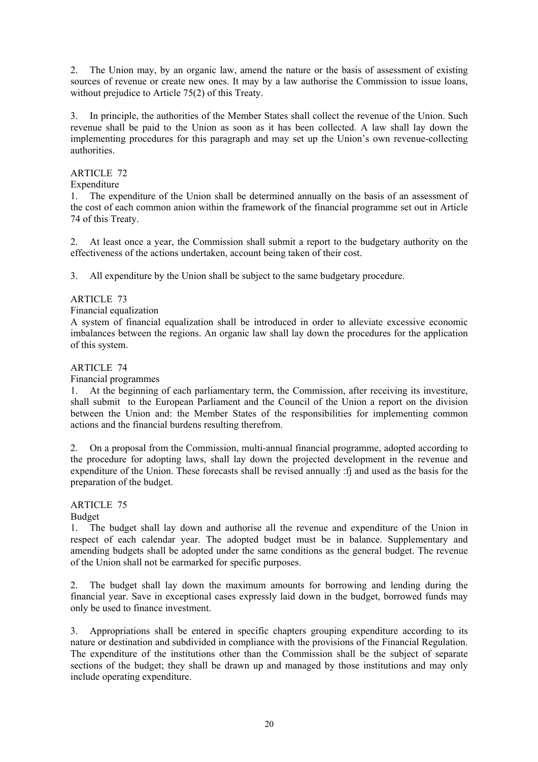2. The Union may, by an organic law, amend the nature or the basis of assessment of existing sources of revenue or create new ones. It may by a law authorise the Commission to issue loans, without prejudice to Article 75(2) of this Treaty.

3. In principle, the authorities of the Member States shall collect the revenue of the Union. Such revenue shall be paid to the Union as soon as it has been collected. A law shall lay down the implementing procedures for this paragraph and may set up the Union's own revenue-collecting authorities.

## ARTICLE 72

## Expenditure

1. The expenditure of the Union shall be determined annually on the basis of an assessment of the cost of each common anion within the framework of the financial programme set out in Article 74 of this Treaty.

2. At least once a year, the Commission shall submit a report to the budgetary authority on the effectiveness of the actions undertaken, account being taken of their cost.

3. All expenditure by the Union shall be subject to the same budgetary procedure.

## ARTICLE 73

### Financial equalization

A system of financial equalization shall be introduced in order to alleviate excessive economic imbalances between the regions. An organic law shall lay down the procedures for the application of this system.

## ARTICLE 74

### Financial programmes

1. At the beginning of each parliamentary term, the Commission, after receiving its investiture, shall submit to the European Parliament and the Council of the Union a report on the division between the Union and: the Member States of the responsibilities for implementing common actions and the financial burdens resulting therefrom.

2. On a proposal from the Commission, multi-annual financial programme, adopted according to the procedure for adopting laws, shall lay down the projected development in the revenue and expenditure of the Union. These forecasts shall be revised annually :fj and used as the basis for the preparation of the budget.

## ARTICLE 75

### Budget

1. The budget shall lay down and authorise all the revenue and expenditure of the Union in respect of each calendar year. The adopted budget must be in balance. Supplementary and amending budgets shall be adopted under the same conditions as the general budget. The revenue of the Union shall not be earmarked for specific purposes.

2. The budget shall lay down the maximum amounts for borrowing and lending during the financial year. Save in exceptional cases expressly laid down in the budget, borrowed funds may only be used to finance investment.

3. Appropriations shall be entered in specific chapters grouping expenditure according to its nature or destination and subdivided in compliance with the provisions of the Financial Regulation. The expenditure of the institutions other than the Commission shall be the subject of separate sections of the budget; they shall be drawn up and managed by those institutions and may only include operating expenditure.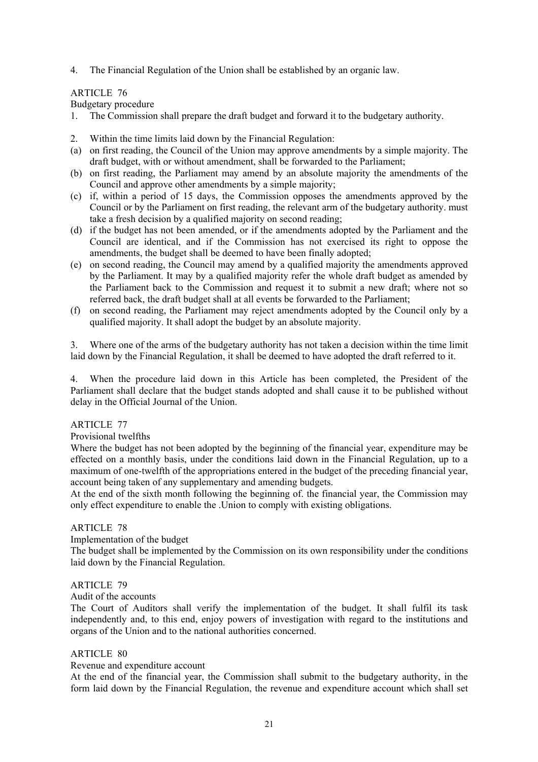4. The Financial Regulation of the Union shall be established by an organic law.

## ARTICLE 76

Budgetary procedure

- 1. The Commission shall prepare the draft budget and forward it to the budgetary authority.
- 2. Within the time limits laid down by the Financial Regulation:
- (a) on first reading, the Council of the Union may approve amendments by a simple majority. The draft budget, with or without amendment, shall be forwarded to the Parliament;
- (b) on first reading, the Parliament may amend by an absolute majority the amendments of the Council and approve other amendments by a simple majority;
- (c) if, within a period of 15 days, the Commission opposes the amendments approved by the Council or by the Parliament on first reading, the relevant arm of the budgetary authority. must take a fresh decision by a qualified majority on second reading;
- (d) if the budget has not been amended, or if the amendments adopted by the Parliament and the Council are identical, and if the Commission has not exercised its right to oppose the amendments, the budget shall be deemed to have been finally adopted;
- (e) on second reading, the Council may amend by a qualified majority the amendments approved by the Parliament. It may by a qualified majority refer the whole draft budget as amended by the Parliament back to the Commission and request it to submit a new draft; where not so referred back, the draft budget shall at all events be forwarded to the Parliament;
- (f) on second reading, the Parliament may reject amendments adopted by the Council only by a qualified majority. It shall adopt the budget by an absolute majority.

3. Where one of the arms of the budgetary authority has not taken a decision within the time limit laid down by the Financial Regulation, it shall be deemed to have adopted the draft referred to it.

4. When the procedure laid down in this Article has been completed, the President of the Parliament shall declare that the budget stands adopted and shall cause it to be published without delay in the Official Journal of the Union.

### ARTICLE 77

Provisional twelfths

Where the budget has not been adopted by the beginning of the financial year, expenditure may be effected on a monthly basis, under the conditions laid down in the Financial Regulation, up to a maximum of one-twelfth of the appropriations entered in the budget of the preceding financial year, account being taken of any supplementary and amending budgets.

At the end of the sixth month following the beginning of. the financial year, the Commission may only effect expenditure to enable the .Union to comply with existing obligations.

### ARTICLE 78

### Implementation of the budget

The budget shall be implemented by the Commission on its own responsibility under the conditions laid down by the Financial Regulation.

### ARTICLE 79

### Audit of the accounts

The Court of Auditors shall verify the implementation of the budget. It shall fulfil its task independently and, to this end, enjoy powers of investigation with regard to the institutions and organs of the Union and to the national authorities concerned.

## ARTICLE 80

#### Revenue and expenditure account

At the end of the financial year, the Commission shall submit to the budgetary authority, in the form laid down by the Financial Regulation, the revenue and expenditure account which shall set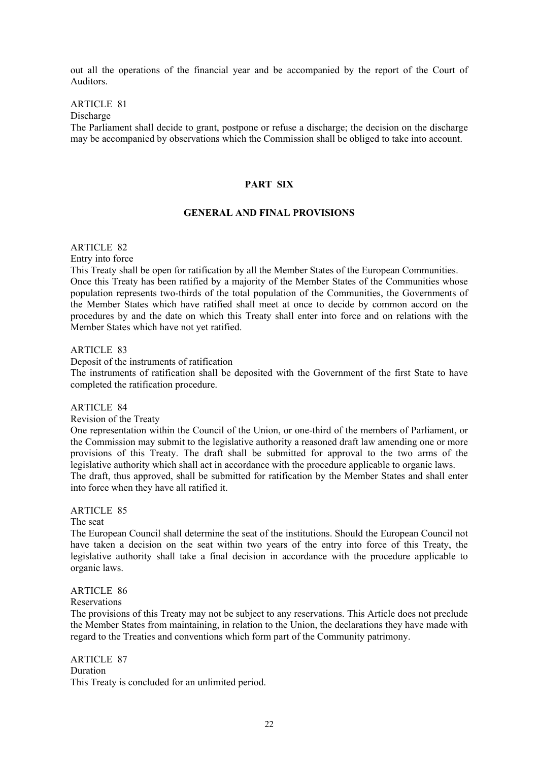out all the operations of the financial year and be accompanied by the report of the Court of Auditors.

## ARTICLE 81

Discharge

The Parliament shall decide to grant, postpone or refuse a discharge; the decision on the discharge may be accompanied by observations which the Commission shall be obliged to take into account.

#### **PART SIX**

#### **GENERAL AND FINAL PROVISIONS**

#### ARTICLE 82

Entry into force

This Treaty shall be open for ratification by all the Member States of the European Communities. Once this Treaty has been ratified by a majority of the Member States of the Communities whose population represents two-thirds of the total population of the Communities, the Governments of the Member States which have ratified shall meet at once to decide by common accord on the procedures by and the date on which this Treaty shall enter into force and on relations with the Member States which have not yet ratified.

#### ARTICLE 83

Deposit of the instruments of ratification

The instruments of ratification shall be deposited with the Government of the first State to have completed the ratification procedure.

ARTICLE 84

Revision of the Treaty

One representation within the Council of the Union, or one-third of the members of Parliament, or the Commission may submit to the legislative authority a reasoned draft law amending one or more provisions of this Treaty. The draft shall be submitted for approval to the two arms of the legislative authority which shall act in accordance with the procedure applicable to organic laws. The draft, thus approved, shall be submitted for ratification by the Member States and shall enter into force when they have all ratified it.

#### ARTICLE 85

The seat

The European Council shall determine the seat of the institutions. Should the European Council not have taken a decision on the seat within two years of the entry into force of this Treaty, the legislative authority shall take a final decision in accordance with the procedure applicable to organic laws.

ARTICLE 86

Reservations

The provisions of this Treaty may not be subject to any reservations. This Article does not preclude the Member States from maintaining, in relation to the Union, the declarations they have made with regard to the Treaties and conventions which form part of the Community patrimony.

ARTICLE 87 Duration This Treaty is concluded for an unlimited period.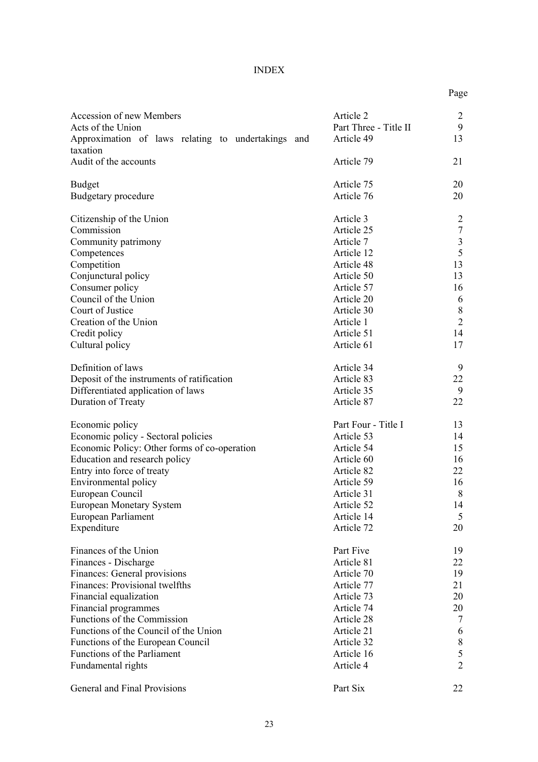# INDEX

| Accession of new Members<br>Acts of the Union<br>Approximation of laws relating to undertakings and | Article 2<br>Part Three - Title II<br>Article 49 | 2<br>9<br>13   |
|-----------------------------------------------------------------------------------------------------|--------------------------------------------------|----------------|
| taxation<br>Audit of the accounts                                                                   | Article 79                                       | 21             |
| <b>Budget</b><br>Budgetary procedure                                                                | Article 75<br>Article 76                         | 20<br>20       |
| Citizenship of the Union                                                                            | Article 3                                        | $\overline{2}$ |
| Commission                                                                                          | Article 25                                       | $\tau$         |
| Community patrimony                                                                                 | Article 7                                        | $\mathfrak{Z}$ |
| Competences                                                                                         | Article 12                                       | 5              |
| Competition                                                                                         | Article 48                                       | 13             |
| Conjunctural policy                                                                                 | Article 50                                       | 13             |
| Consumer policy                                                                                     | Article 57                                       | 16             |
| Council of the Union                                                                                | Article 20                                       | 6              |
| Court of Justice                                                                                    | Article 30                                       | $8\phantom{1}$ |
| Creation of the Union                                                                               | Article 1                                        | $\overline{2}$ |
| Credit policy                                                                                       | Article 51                                       | 14             |
| Cultural policy                                                                                     | Article 61                                       | 17             |
| Definition of laws                                                                                  | Article 34                                       | 9              |
| Deposit of the instruments of ratification                                                          | Article 83                                       | 22             |
| Differentiated application of laws                                                                  | Article 35                                       | 9              |
| Duration of Treaty                                                                                  | Article 87                                       | 22             |
| Economic policy                                                                                     | Part Four - Title I                              | 13             |
| Economic policy - Sectoral policies                                                                 | Article 53                                       | 14             |
| Economic Policy: Other forms of co-operation                                                        | Article 54                                       | 15             |
| Education and research policy                                                                       | Article 60                                       | 16             |
| Entry into force of treaty                                                                          | Article 82                                       | 22             |
| Environmental policy                                                                                | Article 59                                       | 16             |
| European Council                                                                                    | Article 31                                       | 8              |
| <b>European Monetary System</b>                                                                     | Article 52                                       | 14             |
| European Parliament                                                                                 | Article 14                                       | 5              |
| Expenditure                                                                                         | Article 72                                       | 20             |
| Finances of the Union                                                                               | Part Five                                        | 19             |
| Finances - Discharge                                                                                | Article 81                                       | 22             |
| Finances: General provisions                                                                        | Article 70                                       | 19             |
| Finances: Provisional twelfths                                                                      | Article 77                                       | 21             |
| Financial equalization                                                                              | Article 73                                       | 20             |
| Financial programmes                                                                                | Article 74                                       | 20             |
| Functions of the Commission                                                                         | Article 28                                       | $\overline{7}$ |
| Functions of the Council of the Union                                                               | Article 21                                       | 6              |
| Functions of the European Council                                                                   | Article 32                                       | $8\,$          |
| Functions of the Parliament                                                                         | Article 16                                       | 5              |
| Fundamental rights                                                                                  | Article 4                                        | $\overline{2}$ |
| General and Final Provisions                                                                        | Part Six                                         | 22             |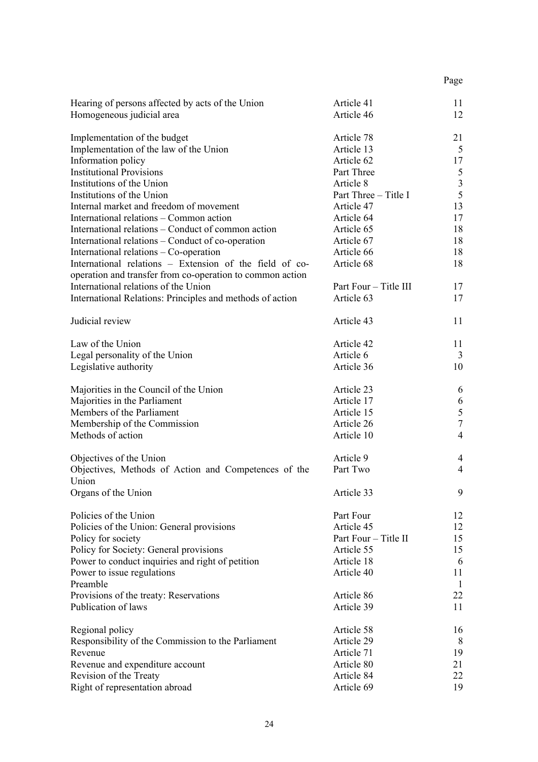| Hearing of persons affected by acts of the Union                                                                     | Article 41            | 11             |
|----------------------------------------------------------------------------------------------------------------------|-----------------------|----------------|
| Homogeneous judicial area                                                                                            | Article 46            | 12             |
| Implementation of the budget                                                                                         | Article 78            | 21             |
| Implementation of the law of the Union                                                                               | Article 13            | $\mathfrak{S}$ |
| Information policy                                                                                                   | Article 62            | 17             |
| <b>Institutional Provisions</b>                                                                                      | Part Three            | $\sqrt{5}$     |
| Institutions of the Union                                                                                            | Article 8             | $\mathfrak{Z}$ |
| Institutions of the Union                                                                                            | Part Three - Title I  | 5              |
| Internal market and freedom of movement                                                                              | Article 47            | 13             |
| International relations – Common action                                                                              | Article 64            | 17             |
| International relations – Conduct of common action                                                                   | Article 65            | 18             |
|                                                                                                                      |                       | 18             |
| International relations – Conduct of co-operation                                                                    | Article 67            |                |
| International relations – Co-operation                                                                               | Article 66            | 18             |
| International relations – Extension of the field of co-<br>operation and transfer from co-operation to common action | Article 68            | 18             |
|                                                                                                                      | Part Four - Title III |                |
| International relations of the Union                                                                                 |                       | 17             |
| International Relations: Principles and methods of action                                                            | Article 63            | 17             |
| Judicial review                                                                                                      | Article 43            | 11             |
| Law of the Union                                                                                                     | Article 42            | 11             |
| Legal personality of the Union                                                                                       | Article 6             | 3              |
| Legislative authority                                                                                                | Article 36            | 10             |
| Majorities in the Council of the Union                                                                               | Article 23            | 6              |
| Majorities in the Parliament                                                                                         | Article 17            | 6              |
| Members of the Parliament                                                                                            | Article 15            | 5              |
| Membership of the Commission                                                                                         | Article 26            | $\tau$         |
| Methods of action                                                                                                    | Article 10            | $\overline{4}$ |
|                                                                                                                      |                       |                |
| Objectives of the Union                                                                                              | Article 9             | $\overline{4}$ |
| Objectives, Methods of Action and Competences of the                                                                 | Part Two              | $\overline{4}$ |
| Union                                                                                                                |                       |                |
| Organs of the Union                                                                                                  | Article 33            | 9              |
| Policies of the Union                                                                                                | Part Four             | 12             |
| Policies of the Union: General provisions                                                                            | Article 45            | 12             |
| Policy for society                                                                                                   | Part Four - Title II  | 15             |
| Policy for Society: General provisions                                                                               | Article 55            | 15             |
| Power to conduct inquiries and right of petition                                                                     | Article 18            | 6              |
| Power to issue regulations                                                                                           | Article 40            | 11             |
| Preamble                                                                                                             |                       | -1             |
|                                                                                                                      | Article 86            | 22             |
| Provisions of the treaty: Reservations<br>Publication of laws                                                        |                       |                |
|                                                                                                                      | Article 39            | 11             |
| Regional policy                                                                                                      | Article 58            | 16             |
| Responsibility of the Commission to the Parliament                                                                   | Article 29            | 8              |
| Revenue                                                                                                              | Article 71            | 19             |
| Revenue and expenditure account                                                                                      | Article 80            | 21             |
| Revision of the Treaty                                                                                               | Article 84            | 22             |
| Right of representation abroad                                                                                       | Article 69            | 19             |
|                                                                                                                      |                       |                |